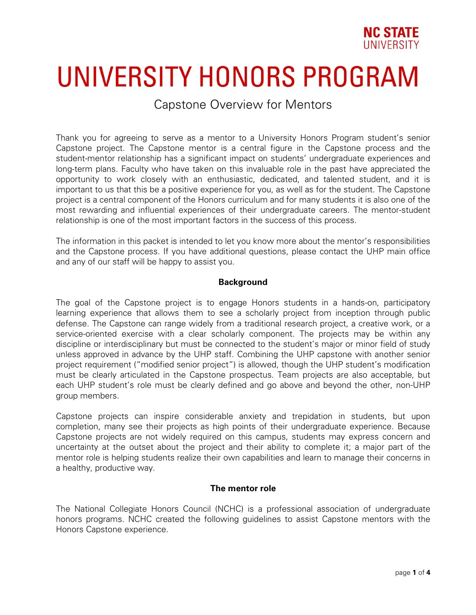

# UNIVERSITY HONORS PROGRAM

# Capstone Overview for Mentors

Thank you for agreeing to serve as a mentor to a University Honors Program student's senior Capstone project. The Capstone mentor is a central figure in the Capstone process and the student-mentor relationship has a significant impact on students' undergraduate experiences and long-term plans. Faculty who have taken on this invaluable role in the past have appreciated the opportunity to work closely with an enthusiastic, dedicated, and talented student, and it is important to us that this be a positive experience for you, as well as for the student. The Capstone project is a central component of the Honors curriculum and for many students it is also one of the most rewarding and influential experiences of their undergraduate careers. The mentor-student relationship is one of the most important factors in the success of this process.

The information in this packet is intended to let you know more about the mentor's responsibilities and the Capstone process. If you have additional questions, please contact the UHP main office and any of our staff will be happy to assist you.

## **Background**

The goal of the Capstone project is to engage Honors students in a hands-on, participatory learning experience that allows them to see a scholarly project from inception through public defense. The Capstone can range widely from a traditional research project, a creative work, or a service-oriented exercise with a clear scholarly component. The projects may be within any discipline or interdisciplinary but must be connected to the student's major or minor field of study unless approved in advance by the UHP staff. Combining the UHP capstone with another senior project requirement ("modified senior project") is allowed, though the UHP student's modification must be clearly articulated in the Capstone prospectus. Team projects are also acceptable, but each UHP student's role must be clearly defined and go above and beyond the other, non-UHP group members.

Capstone projects can inspire considerable anxiety and trepidation in students, but upon completion, many see their projects as high points of their undergraduate experience. Because Capstone projects are not widely required on this campus, students may express concern and uncertainty at the outset about the project and their ability to complete it; a major part of the mentor role is helping students realize their own capabilities and learn to manage their concerns in a healthy, productive way.

#### **The mentor role**

The National Collegiate Honors Council (NCHC) is a professional association of undergraduate honors programs. NCHC created the following guidelines to assist Capstone mentors with the Honors Capstone experience.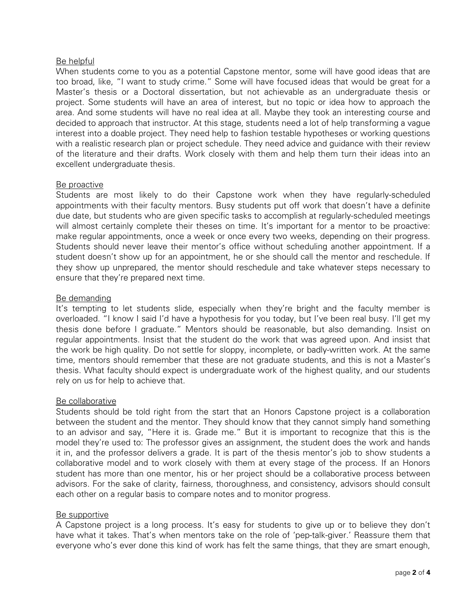# Be helpful

When students come to you as a potential Capstone mentor, some will have good ideas that are too broad, like, "I want to study crime." Some will have focused ideas that would be great for a Master's thesis or a Doctoral dissertation, but not achievable as an undergraduate thesis or project. Some students will have an area of interest, but no topic or idea how to approach the area. And some students will have no real idea at all. Maybe they took an interesting course and decided to approach that instructor. At this stage, students need a lot of help transforming a vague interest into a doable project. They need help to fashion testable hypotheses or working questions with a realistic research plan or project schedule. They need advice and guidance with their review of the literature and their drafts. Work closely with them and help them turn their ideas into an excellent undergraduate thesis.

#### Be proactive

Students are most likely to do their Capstone work when they have regularly-scheduled appointments with their faculty mentors. Busy students put off work that doesn't have a definite due date, but students who are given specific tasks to accomplish at regularly-scheduled meetings will almost certainly complete their theses on time. It's important for a mentor to be proactive: make regular appointments, once a week or once every two weeks, depending on their progress. Students should never leave their mentor's office without scheduling another appointment. If a student doesn't show up for an appointment, he or she should call the mentor and reschedule. If they show up unprepared, the mentor should reschedule and take whatever steps necessary to ensure that they're prepared next time.

## Be demanding

It's tempting to let students slide, especially when they're bright and the faculty member is overloaded. "I know I said I'd have a hypothesis for you today, but I've been real busy. I'll get my thesis done before I graduate." Mentors should be reasonable, but also demanding. Insist on regular appointments. Insist that the student do the work that was agreed upon. And insist that the work be high quality. Do not settle for sloppy, incomplete, or badly-written work. At the same time, mentors should remember that these are not graduate students, and this is not a Master's thesis. What faculty should expect is undergraduate work of the highest quality, and our students rely on us for help to achieve that.

#### Be collaborative

Students should be told right from the start that an Honors Capstone project is a collaboration between the student and the mentor. They should know that they cannot simply hand something to an advisor and say, "Here it is. Grade me." But it is important to recognize that this is the model they're used to: The professor gives an assignment, the student does the work and hands it in, and the professor delivers a grade. It is part of the thesis mentor's job to show students a collaborative model and to work closely with them at every stage of the process. If an Honors student has more than one mentor, his or her project should be a collaborative process between advisors. For the sake of clarity, fairness, thoroughness, and consistency, advisors should consult each other on a regular basis to compare notes and to monitor progress.

#### Be supportive

A Capstone project is a long process. It's easy for students to give up or to believe they don't have what it takes. That's when mentors take on the role of 'pep-talk-giver.' Reassure them that everyone who's ever done this kind of work has felt the same things, that they are smart enough,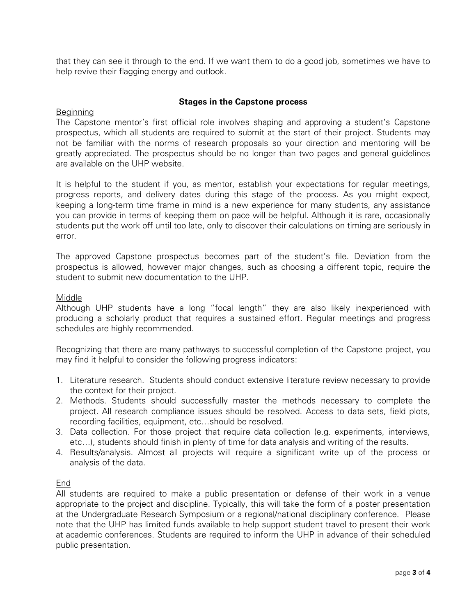that they can see it through to the end. If we want them to do a good job, sometimes we have to help revive their flagging energy and outlook.

## **Stages in the Capstone process**

#### Beginning

The Capstone mentor's first official role involves shaping and approving a student's Capstone prospectus, which all students are required to submit at the start of their project. Students may not be familiar with the norms of research proposals so your direction and mentoring will be greatly appreciated. The prospectus should be no longer than two pages and general guidelines are available on the UHP website.

It is helpful to the student if you, as mentor, establish your expectations for regular meetings, progress reports, and delivery dates during this stage of the process. As you might expect, keeping a long-term time frame in mind is a new experience for many students, any assistance you can provide in terms of keeping them on pace will be helpful. Although it is rare, occasionally students put the work off until too late, only to discover their calculations on timing are seriously in error.

The approved Capstone prospectus becomes part of the student's file. Deviation from the prospectus is allowed, however major changes, such as choosing a different topic, require the student to submit new documentation to the UHP.

#### Middle

Although UHP students have a long "focal length" they are also likely inexperienced with producing a scholarly product that requires a sustained effort. Regular meetings and progress schedules are highly recommended.

Recognizing that there are many pathways to successful completion of the Capstone project, you may find it helpful to consider the following progress indicators:

- 1. Literature research. Students should conduct extensive literature review necessary to provide the context for their project.
- 2. Methods. Students should successfully master the methods necessary to complete the project. All research compliance issues should be resolved. Access to data sets, field plots, recording facilities, equipment, etc…should be resolved.
- 3. Data collection. For those project that require data collection (e.g. experiments, interviews, etc…), students should finish in plenty of time for data analysis and writing of the results.
- 4. Results/analysis. Almost all projects will require a significant write up of the process or analysis of the data.

#### End

All students are required to make a public presentation or defense of their work in a venue appropriate to the project and discipline. Typically, this will take the form of a poster presentation at the Undergraduate Research Symposium or a regional/national disciplinary conference. Please note that the UHP has limited funds available to help support student travel to present their work at academic conferences. Students are required to inform the UHP in advance of their scheduled public presentation.